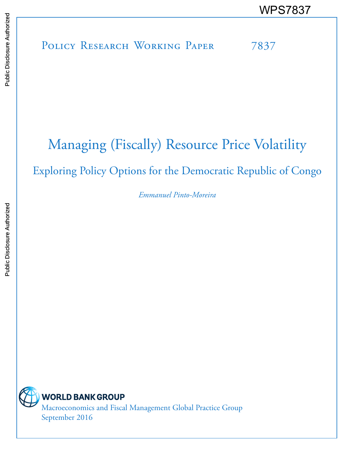POLICY RESEARCH WORKING PAPER 7837 WPS7837<br>
MESTAL<br>
BRANCH WORKING PAPER 7837<br>
BRANCH WORKING PAPER 7837<br>
BRANCH WORKING PAPER 7837

# Managing (Fiscally) Resource Price Volatility

Exploring Policy Options for the Democratic Republic of Congo

*Emmanuel Pinto-Moreira*



**WORLD BANK GROUP** 

Macroeconomics and Fiscal Management Global Practice Group September 2016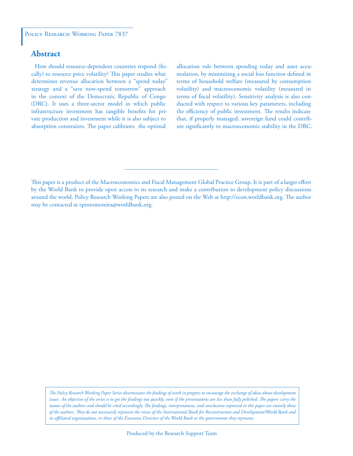### **Abstract**

 How should resource-dependent countries respond (fiscally) to resource price volatility? This paper studies what determines revenue allocation between a "spend today" strategy and a "save now-spend tomorrow" approach in the context of the Democratic Republic of Congo (DRC). It uses a three-sector model in which public infrastructure investment has tangible benefits for private production and investment while it is also subject to absorption constraints. The paper calibrates the optimal

allocation rule between spending today and asset accumulation, by minimizing a social loss function defined in terms of household welfare (measured by consumption volatility) and macroeconomic volatility (measured in terms of fiscal volatility). Sensitivity analysis is also conducted with respect to various key parameters, including the efficiency of public investment. The results indicate that, if properly managed, sovereign fund could contribute significantly to macroeconomic stability in the DRC.

*The Policy Research Working Paper Series disseminates the findings of work in progress to encourage the exchange of ideas about development*  issues. An objective of the series is to get the findings out quickly, even if the presentations are less than fully polished. The papers carry the *names of the authors and should be cited accordingly. The findings, interpretations, and conclusions expressed in this paper are entirely those of the authors. They do not necessarily represent the views of the International Bank for Reconstruction and Development/World Bank and its affiliated organizations, or those of the Executive Directors of the World Bank or the governments they represent.*

This paper is a product of the Macroeconomics and Fiscal Management Global Practice Group. It is part of a larger effort by the World Bank to provide open access to its research and make a contribution to development policy discussions around the world. Policy Research Working Papers are also posted on the Web at http://econ.worldbank.org. The author may be contacted at epintomoreira@worldbank.org.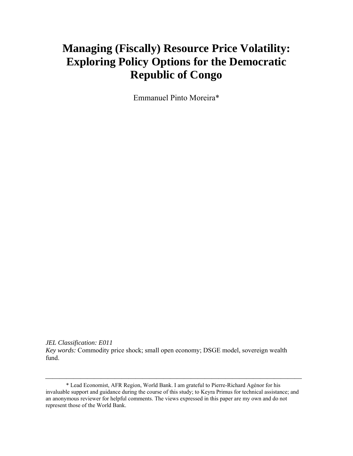# **Managing (Fiscally) Resource Price Volatility: Exploring Policy Options for the Democratic Republic of Congo**

Emmanuel Pinto Moreira\*

*JEL Classification: E011 Key words:* Commodity price shock; small open economy; DSGE model, sovereign wealth fund.

<sup>\*</sup> Lead Economist, AFR Region, World Bank. I am grateful to Pierre-Richard Agénor for his invaluable support and guidance during the course of this study; to Keyra Primus for technical assistance; and an anonymous reviewer for helpful comments. The views expressed in this paper are my own and do not represent those of the World Bank.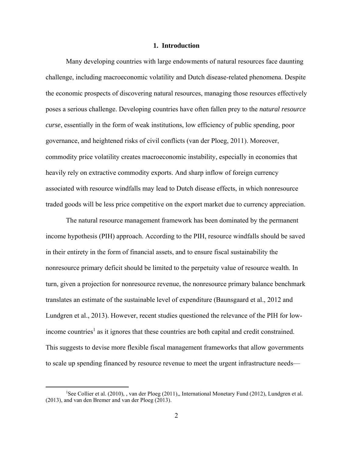#### **1. Introduction**

Many developing countries with large endowments of natural resources face daunting challenge, including macroeconomic volatility and Dutch disease-related phenomena. Despite the economic prospects of discovering natural resources, managing those resources effectively poses a serious challenge. Developing countries have often fallen prey to the *natural resource curse*, essentially in the form of weak institutions, low efficiency of public spending, poor governance, and heightened risks of civil conflicts (van der Ploeg, 2011). Moreover, commodity price volatility creates macroeconomic instability, especially in economies that heavily rely on extractive commodity exports. And sharp inflow of foreign currency associated with resource windfalls may lead to Dutch disease effects, in which nonresource traded goods will be less price competitive on the export market due to currency appreciation.

The natural resource management framework has been dominated by the permanent income hypothesis (PIH) approach. According to the PIH, resource windfalls should be saved in their entirety in the form of financial assets, and to ensure fiscal sustainability the nonresource primary deficit should be limited to the perpetuity value of resource wealth. In turn, given a projection for nonresource revenue, the nonresource primary balance benchmark translates an estimate of the sustainable level of expenditure (Baunsgaard et al., 2012 and Lundgren et al., 2013). However, recent studies questioned the relevance of the PIH for lowincome countries<sup>1</sup> as it ignores that these countries are both capital and credit constrained. This suggests to devise more flexible fiscal management frameworks that allow governments to scale up spending financed by resource revenue to meet the urgent infrastructure needs—

<sup>&</sup>lt;u>1</u> <sup>1</sup>See Collier et al. (2010), , van der Ploeg (2011), International Monetary Fund (2012), Lundgren et al. (2013), and van den Bremer and van der Ploeg (2013).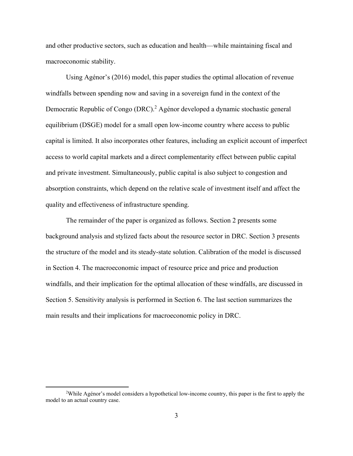and other productive sectors, such as education and health—while maintaining fiscal and macroeconomic stability.

Using Agénor's (2016) model, this paper studies the optimal allocation of revenue windfalls between spending now and saving in a sovereign fund in the context of the Democratic Republic of Congo (DRC).<sup>2</sup> Agénor developed a dynamic stochastic general equilibrium (DSGE) model for a small open low-income country where access to public capital is limited. It also incorporates other features, including an explicit account of imperfect access to world capital markets and a direct complementarity effect between public capital and private investment. Simultaneously, public capital is also subject to congestion and absorption constraints, which depend on the relative scale of investment itself and affect the quality and effectiveness of infrastructure spending.

The remainder of the paper is organized as follows. Section 2 presents some background analysis and stylized facts about the resource sector in DRC. Section 3 presents the structure of the model and its steady-state solution. Calibration of the model is discussed in Section 4. The macroeconomic impact of resource price and price and production windfalls, and their implication for the optimal allocation of these windfalls, are discussed in Section 5. Sensitivity analysis is performed in Section 6. The last section summarizes the main results and their implications for macroeconomic policy in DRC.

 $\overline{\phantom{a}}$  2 While Agénor's model considers a hypothetical low-income country, this paper is the first to apply the model to an actual country case.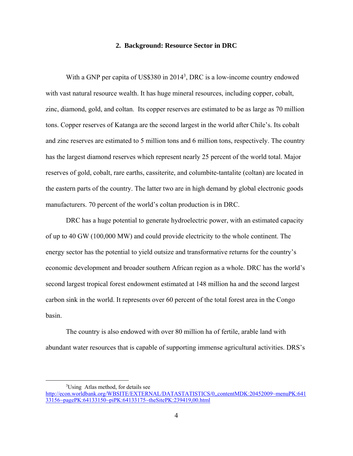#### **2. Background: Resource Sector in DRC**

With a GNP per capita of US\$380 in 2014<sup>3</sup>, DRC is a low-income country endowed with vast natural resource wealth. It has huge mineral resources, including copper, cobalt, zinc, diamond, gold, and coltan. Its copper reserves are estimated to be as large as 70 million tons. Copper reserves of Katanga are the second largest in the world after Chile's. Its cobalt and zinc reserves are estimated to 5 million tons and 6 million tons, respectively. The country has the largest diamond reserves which represent nearly 25 percent of the world total. Major reserves of gold, cobalt, rare earths, cassiterite, and columbite-tantalite (coltan) are located in the eastern parts of the country. The latter two are in high demand by global electronic goods manufacturers. 70 percent of the world's coltan production is in DRC.

DRC has a huge potential to generate hydroelectric power, with an estimated capacity of up to 40 GW (100,000 MW) and could provide electricity to the whole continent. The energy sector has the potential to yield outsize and transformative returns for the country's economic development and broader southern African region as a whole. DRC has the world's second largest tropical forest endowment estimated at 148 million ha and the second largest carbon sink in the world. It represents over 60 percent of the total forest area in the Congo basin.

The country is also endowed with over 80 million ha of fertile, arable land with abundant water resources that is capable of supporting immense agricultural activities. DRS's

 <sup>3</sup> <sup>3</sup>Using Atlas method, for details see

http://econ.worldbank.org/WBSITE/EXTERNAL/DATASTATISTICS/0,,contentMDK:20452009~menuPK:641 33156~pagePK:64133150~piPK:64133175~theSitePK:239419,00.html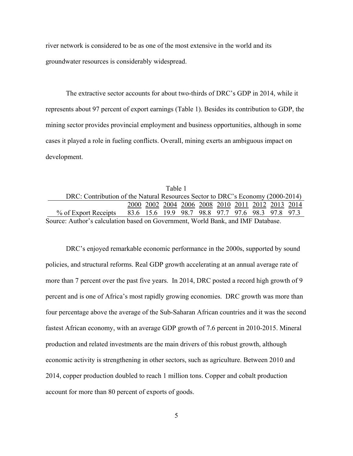river network is considered to be as one of the most extensive in the world and its groundwater resources is considerably widespread.

The extractive sector accounts for about two-thirds of DRC's GDP in 2014, while it represents about 97 percent of export earnings (Table 1). Besides its contribution to GDP, the mining sector provides provincial employment and business opportunities, although in some cases it played a role in fueling conflicts. Overall, mining exerts an ambiguous impact on development.

| Table 1                                                                         |  |  |                                                   |  |  |  |  |  |  |  |
|---------------------------------------------------------------------------------|--|--|---------------------------------------------------|--|--|--|--|--|--|--|
| DRC: Contribution of the Natural Resources Sector to DRC's Economy (2000-2014)  |  |  |                                                   |  |  |  |  |  |  |  |
|                                                                                 |  |  | 2000 2002 2004 2006 2008 2010 2011 2012 2013 2014 |  |  |  |  |  |  |  |
| % of Export Receipts                                                            |  |  | 83.6 15.6 19.9 98.7 98.8 97.7 97.6 98.3 97.8 97.3 |  |  |  |  |  |  |  |
| Source: Author's calculation based on Government, World Bank, and IMF Database. |  |  |                                                   |  |  |  |  |  |  |  |

 DRC's enjoyed remarkable economic performance in the 2000s, supported by sound policies, and structural reforms. Real GDP growth accelerating at an annual average rate of more than 7 percent over the past five years. In 2014, DRC posted a record high growth of 9 percent and is one of Africa's most rapidly growing economies. DRC growth was more than four percentage above the average of the Sub-Saharan African countries and it was the second fastest African economy, with an average GDP growth of 7.6 percent in 2010-2015. Mineral production and related investments are the main drivers of this robust growth, although economic activity is strengthening in other sectors, such as agriculture. Between 2010 and 2014, copper production doubled to reach 1 million tons. Copper and cobalt production account for more than 80 percent of exports of goods.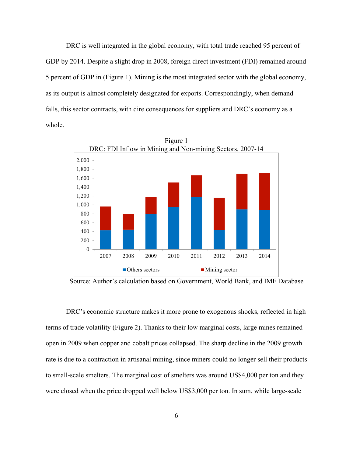DRC is well integrated in the global economy, with total trade reached 95 percent of GDP by 2014. Despite a slight drop in 2008, foreign direct investment (FDI) remained around 5 percent of GDP in (Figure 1). Mining is the most integrated sector with the global economy, as its output is almost completely designated for exports. Correspondingly, when demand falls, this sector contracts, with dire consequences for suppliers and DRC's economy as a whole.



Figure 1

Source: Author's calculation based on Government, World Bank, and IMF Database

 DRC's economic structure makes it more prone to exogenous shocks, reflected in high terms of trade volatility (Figure 2). Thanks to their low marginal costs, large mines remained open in 2009 when copper and cobalt prices collapsed. The sharp decline in the 2009 growth rate is due to a contraction in artisanal mining, since miners could no longer sell their products to small-scale smelters. The marginal cost of smelters was around US\$4,000 per ton and they were closed when the price dropped well below US\$3,000 per ton. In sum, while large-scale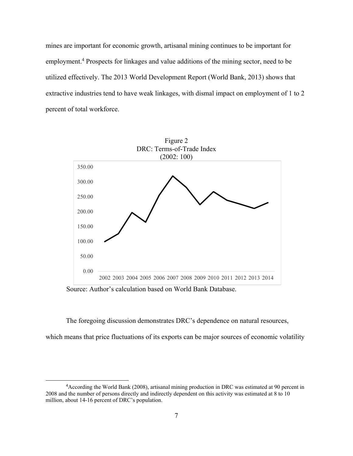mines are important for economic growth, artisanal mining continues to be important for employment.<sup>4</sup> Prospects for linkages and value additions of the mining sector, need to be utilized effectively. The 2013 World Development Report (World Bank, 2013) shows that extractive industries tend to have weak linkages, with dismal impact on employment of 1 to 2 percent of total workforce.



Source: Author's calculation based on World Bank Database.

 $\overline{a}$ 

The foregoing discussion demonstrates DRC's dependence on natural resources,

which means that price fluctuations of its exports can be major sources of economic volatility

<sup>4</sup>According the World Bank (2008), artisanal mining production in DRC was estimated at 90 percent in 2008 and the number of persons directly and indirectly dependent on this activity was estimated at 8 to 10 million, about 14-16 percent of DRC's population.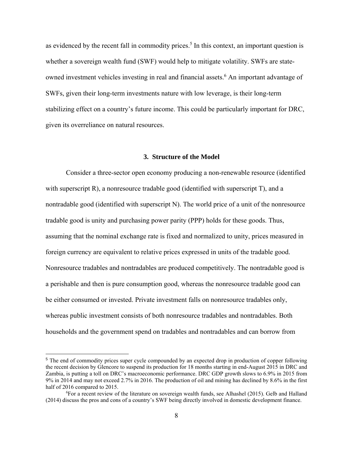as evidenced by the recent fall in commodity prices.<sup>5</sup> In this context, an important question is whether a sovereign wealth fund (SWF) would help to mitigate volatility. SWFs are stateowned investment vehicles investing in real and financial assets.<sup>6</sup> An important advantage of SWFs, given their long-term investments nature with low leverage, is their long-term stabilizing effect on a country's future income. This could be particularly important for DRC, given its overreliance on natural resources.

#### **3. Structure of the Model**

Consider a three-sector open economy producing a non-renewable resource (identified with superscript R), a nonresource tradable good (identified with superscript T), and a nontradable good (identified with superscript N). The world price of a unit of the nonresource tradable good is unity and purchasing power parity (PPP) holds for these goods. Thus, assuming that the nominal exchange rate is fixed and normalized to unity, prices measured in foreign currency are equivalent to relative prices expressed in units of the tradable good. Nonresource tradables and nontradables are produced competitively. The nontradable good is a perishable and then is pure consumption good, whereas the nonresource tradable good can be either consumed or invested. Private investment falls on nonresource tradables only, whereas public investment consists of both nonresource tradables and nontradables. Both households and the government spend on tradables and nontradables and can borrow from

 $\overline{a}$ 

<sup>&</sup>lt;sup>5</sup> The end of commodity prices super cycle compounded by an expected drop in production of copper following the recent decision by Glencore to suspend its production for 18 months starting in end-August 2015 in DRC and Zambia, is putting a toll on DRC's macroeconomic performance. DRC GDP growth slows to 6.9% in 2015 from 9% in 2014 and may not exceed 2.7% in 2016. The production of oil and mining has declined by 8.6% in the first half of 2016 compared to 2015.

For a recent review of the literature on sovereign wealth funds, see Alhashel (2015). Gelb and Halland (2014) discuss the pros and cons of a country's SWF being directly involved in domestic development finance.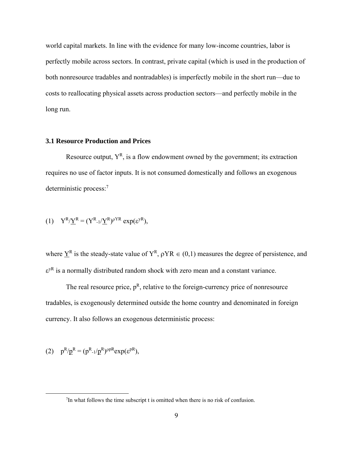world capital markets. In line with the evidence for many low-income countries, labor is perfectly mobile across sectors. In contrast, private capital (which is used in the production of both nonresource tradables and nontradables) is imperfectly mobile in the short run—due to costs to reallocating physical assets across production sectors—and perfectly mobile in the long run.

#### **3.1 Resource Production and Prices**

Resource output,  $Y<sup>R</sup>$ , is a flow endowment owned by the government; its extraction requires no use of factor inputs. It is not consumed domestically and follows an exogenous deterministic process:<sup>7</sup>

(1) 
$$
Y^R / \underline{Y}^R = (Y^R \cdot \mathbf{1} / \underline{Y}^R)^{\rho Y R} \exp(\epsilon^{yR}),
$$

where  $Y^R$  is the steady-state value of  $Y^R$ ,  $\rho YR \in (0,1)$  measures the degree of persistence, and  $\varepsilon^{yR}$  is a normally distributed random shock with zero mean and a constant variance.

The real resource price,  $p^R$ , relative to the foreign-currency price of nonresource tradables, is exogenously determined outside the home country and denominated in foreign currency. It also follows an exogenous deterministic process:

$$
(2) \t pR/pR = (pR·1/pR)oppR exp(εpR),
$$

 <sup>7</sup>  $\frac{1}{1}$ In what follows the time subscript t is omitted when there is no risk of confusion.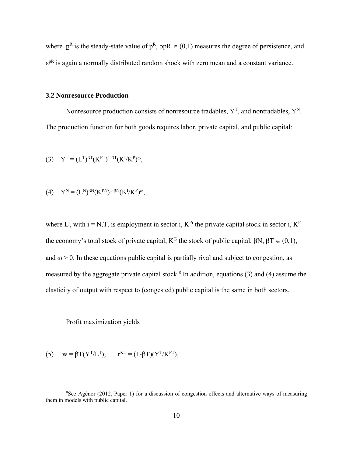where  $p^R$  is the steady-state value of  $p^R$ ,  $\rho pR \in (0,1)$  measures the degree of persistence, and  $\varepsilon^{pR}$  is again a normally distributed random shock with zero mean and a constant variance.

#### **3.2 Nonresource Production**

Nonresource production consists of nonresource tradables,  $Y<sup>T</sup>$ , and nontradables,  $Y<sup>N</sup>$ . The production function for both goods requires labor, private capital, and public capital:

(3) 
$$
Y^{T} = (L^{T})^{\beta T} (K^{PT})^{1-\beta T} (K^{I}/K^{P})^{\omega},
$$

(4) 
$$
Y^N = (L^N)^{\beta N} (K^{PN})^{1-\beta N} (K^I/K^P)^{\omega},
$$

where  $L^i$ , with  $i = N, T$ , is employment in sector i,  $K^{P_i}$  the private capital stock in sector i,  $K^P$ the economy's total stock of private capital,  $K^G$  the stock of public capital,  $\beta N$ ,  $\beta T \in (0,1)$ , and  $\omega > 0$ . In these equations public capital is partially rival and subject to congestion, as measured by the aggregate private capital stock.<sup>8</sup> In addition, equations (3) and (4) assume the elasticity of output with respect to (congested) public capital is the same in both sectors.

#### Profit maximization yields

(5) 
$$
w = \beta T(Y^T/L^T)
$$
,  $r^{KT} = (1 - \beta T)(Y^T/K^{PT})$ ,

 $\frac{1}{8}$ See Agénor (2012, Paper 1) for a discussion of congestion effects and alternative ways of measuring them in models with public capital.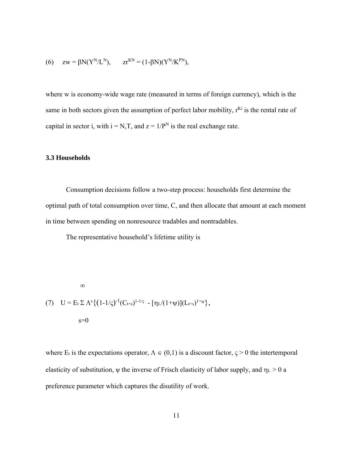(6) 
$$
zw = \beta N(Y^N/L^N)
$$
,  $zr^{KN} = (1-\beta N)(Y^N/K^{PN})$ ,

where w is economy-wide wage rate (measured in terms of foreign currency), which is the same in both sectors given the assumption of perfect labor mobility,  $r^{Ki}$  is the rental rate of capital in sector i, with  $i = N, T$ , and  $z = 1/P<sup>N</sup>$  is the real exchange rate.

#### **3.3 Households**

Consumption decisions follow a two-step process: households first determine the optimal path of total consumption over time, C, and then allocate that amount at each moment in time between spending on nonresource tradables and nontradables.

The representative household's lifetime utility is

$$
\infty
$$
\n(7) 
$$
U = E_t \sum \Lambda^s \{ (1-1/\varsigma)^{-1} (C_{t+s})^{1-1/\varsigma} - [\eta_L/(1+\psi)] (L_{t+s})^{1+\psi} \},
$$
\n
$$
s=0
$$

where E<sub>t</sub> is the expectations operator,  $\Lambda \in (0,1)$  is a discount factor,  $\varsigma > 0$  the intertemporal elasticity of substitution,  $\psi$  the inverse of Frisch elasticity of labor supply, and  $\eta_L > 0$  a preference parameter which captures the disutility of work.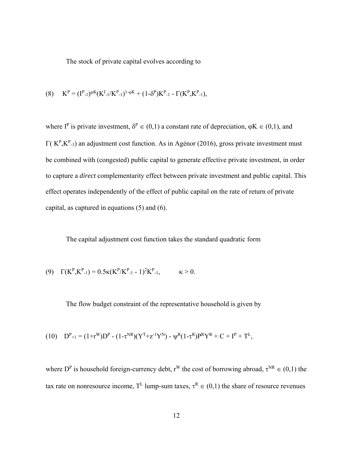The stock of private capital evolves according to

(8) 
$$
K^{P} = (I^{P}I)^{\phi K}(K^{I}I/K^{P}I)^{1-\phi K} + (1-\delta^{P})K^{P}I - \Gamma(K^{P}, K^{P}I),
$$

where I<sup>P</sup> is private investment,  $\delta^P \in (0,1)$  a constant rate of depreciation,  $\varphi K \in (0,1)$ , and  $\Gamma(K^p, K^p, I)$  an adjustment cost function. As in Agénor (2016), gross private investment must be combined with (congested) public capital to generate effective private investment, in order to capture a *direct* complementarity effect between private investment and public capital. This effect operates independently of the effect of public capital on the rate of return of private capital, as captured in equations (5) and (6).

The capital adjustment cost function takes the standard quadratic form

(9) 
$$
\Gamma(K^P, K^P, 1) = 0.5\kappa(K^P/K^P, 1 - 1)^2K^P, 1, \qquad \kappa > 0.
$$

The flow budget constraint of the representative household is given by

(10) 
$$
D^{P_{+1}} = (1+r^{W})D^{P} - (1-r^{NR})(Y^{T_{+}}z^{-1}Y^{N}) - \psi^{R}(1-r^{R})P^{R}Y^{R} + C + I^{P_{+}}T^{L},
$$

where D<sup>P</sup> is household foreign-currency debt, r<sup>W</sup> the cost of borrowing abroad,  $\tau^{NR} \in (0,1)$  the tax rate on nonresource income, T<sup>L</sup> lump-sum taxes,  $\tau^R \in (0,1)$  the share of resource revenues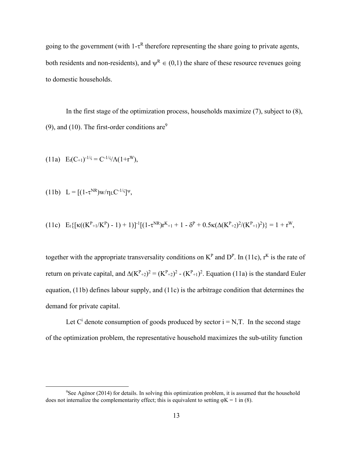going to the government (with  $1-\tau^R$  therefore representing the share going to private agents, both residents and non-residents), and  $\psi^R \in (0,1)$  the share of these resource revenues going to domestic households.

 In the first stage of the optimization process, households maximize (7), subject to (8), (9), and (10). The first-order conditions are  $9<sup>9</sup>$ 

(11a) 
$$
E_t(C_{+1})^{-1/\varsigma} = C^{-1/\varsigma}/\Lambda(1+r^W)
$$
,

(11b) 
$$
L = [(1 - \tau^{NR})w / \eta_L C^{-1/\varsigma}]^{\psi}
$$
,

$$
(11c)\quad E_t\{[\kappa((K^P_{+1}/K^P)-1)+1)]^{-1}[(1-\tau^{NR})r^{K}{}_{+1}+1-\delta^P_{-}+0.5\kappa(\Delta(K^P_{+2})^2/(K^P_{+1})^2)\}=1+r^W,
$$

together with the appropriate transversality conditions on  $K^P$  and  $D^P$ . In (11c),  $r^K$  is the rate of return on private capital, and  $\Delta(K^P_{+2})^2 = (K^P_{+2})^2 - (K^P_{+1})^2$ . Equation (11a) is the standard Euler equation, (11b) defines labour supply, and (11c) is the arbitrage condition that determines the demand for private capital.

Let  $C^i$  denote consumption of goods produced by sector  $i = N, T$ . In the second stage of the optimization problem, the representative household maximizes the sub-utility function

 <sup>9</sup>  ${}^{9}$ See Agénor (2014) for details. In solving this optimization problem, it is assumed that the household does not internalize the complementarity effect; this is equivalent to setting  $\phi K = 1$  in (8).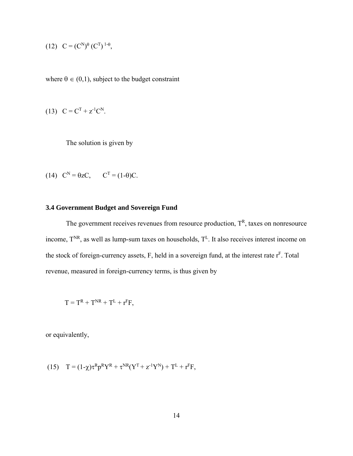(12) 
$$
C = (C^N)^{\theta} (C^T)^{1-\theta}
$$
,

where  $\theta \in (0,1)$ , subject to the budget constraint

(13)  $C = C^{T} + z^{-1}C^{N}$ .

The solution is given by

(14) 
$$
C^N = \theta z C
$$
,  $C^T = (1-\theta)C$ .

# **3.4 Government Budget and Sovereign Fund**

The government receives revenues from resource production,  $T<sup>R</sup>$ , taxes on nonresource income,  $T<sup>NR</sup>$ , as well as lump-sum taxes on households,  $T<sup>L</sup>$ . It also receives interest income on the stock of foreign-currency assets,  $F$ , held in a sovereign fund, at the interest rate  $r<sup>F</sup>$ . Total revenue, measured in foreign-currency terms, is thus given by

$$
T = T^R + T^{NR} + T^L + r^F F,
$$

or equivalently,

(15) 
$$
T = (1-\chi)\tau^R p^R Y^R + \tau^{NR} (Y^T + z^{-1} Y^N) + T^L + r^F F,
$$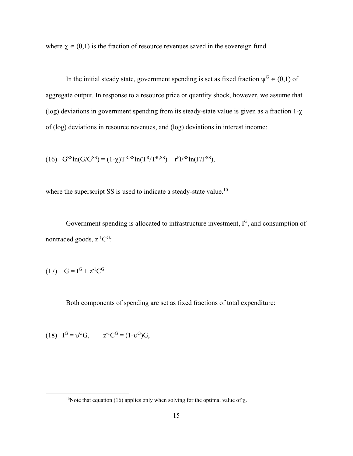where  $\chi \in (0,1)$  is the fraction of resource revenues saved in the sovereign fund.

In the initial steady state, government spending is set as fixed fraction  $\psi^G \in (0,1)$  of aggregate output. In response to a resource price or quantity shock, however, we assume that (log) deviations in government spending from its steady-state value is given as a fraction 1-χ of (log) deviations in resource revenues, and (log) deviations in interest income:

(16) 
$$
G^{SS}\ln(G/G^{SS}) = (1-\chi)T^{R,SS}\ln(T^R/T^{R,SS}) + r^F F^{SS}\ln(F/F^{SS}),
$$

where the superscript SS is used to indicate a steady-state value.<sup>10</sup>

Government spending is allocated to infrastructure investment,  $I^G$ , and consumption of nontraded goods,  $z^{-1}C^G$ :

(17) 
$$
G = I^G + z^{-1}C^G
$$
.

Both components of spending are set as fixed fractions of total expenditure:

(18)  $I^G = v^G G$ ,  $z^{-1} C^G = (1-v^G) G$ ,

<sup>&</sup>lt;sup>10</sup>Note that equation (16) applies only when solving for the optimal value of  $\chi$ .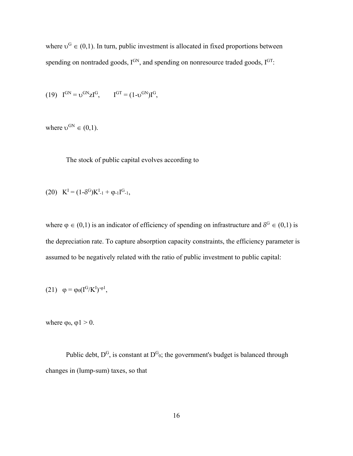where  $v^G \in (0,1)$ . In turn, public investment is allocated in fixed proportions between spending on nontraded goods,  $I^{GN}$ , and spending on nonresource traded goods,  $I^{GT}$ :

(19) 
$$
I^{GN} = \nu^{GN} z I^G
$$
,  $I^{GT} = (1 - \nu^{GN}) I^G$ ,

where  $v^{GN} \in (0,1)$ .

The stock of public capital evolves according to

(20) 
$$
K^I = (1 - \delta^G)K^I_{-1} + \varphi_{-1}I^G_{-1}
$$
,

where  $\varphi \in (0,1)$  is an indicator of efficiency of spending on infrastructure and  $\delta^G \in (0,1)$  is the depreciation rate. To capture absorption capacity constraints, the efficiency parameter is assumed to be negatively related with the ratio of public investment to public capital:

$$
(21) \quad \varphi = \varphi_0(I^G/K^I)^{-\varphi 1},
$$

where  $\varphi_0$ ,  $\varphi_1 > 0$ .

Public debt,  $D^G$ , is constant at  $D^G$ <sub>0</sub>; the government's budget is balanced through changes in (lump-sum) taxes, so that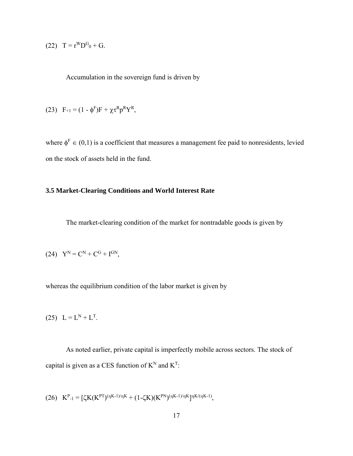(22)  $T = r^WD^G_0 + G$ .

Accumulation in the sovereign fund is driven by

(23) 
$$
F_{+1} = (1 - \phi^F)F + \chi \tau^R p^R Y^R
$$
,

where  $\phi^F \in (0,1)$  is a coefficient that measures a management fee paid to nonresidents, levied on the stock of assets held in the fund.

#### **3.5 Market-Clearing Conditions and World Interest Rate**

The market-clearing condition of the market for nontradable goods is given by

(24) 
$$
Y^N = C^N + C^G + I^{GN},
$$

whereas the equilibrium condition of the labor market is given by

(25)  $L = L^{N} + L^{T}$ .

 As noted earlier, private capital is imperfectly mobile across sectors. The stock of capital is given as a CES function of  $K^N$  and  $K^T$ :

(26)  $K^P_{-1} = [\zeta K(K^{PT})^{(\eta K-1)/\eta K} + (1-\zeta K)(K^{PN})^{(\eta K-1)/\eta K}]^{\eta K/(\eta K-1)},$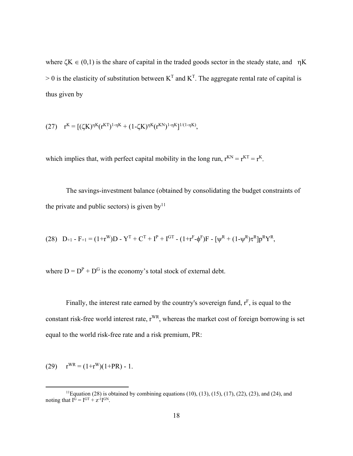where  $\zeta K \in (0,1)$  is the share of capital in the traded goods sector in the steady state, and  $\eta K$  $> 0$  is the elasticity of substitution between K<sup>T</sup> and K<sup>T</sup>. The aggregate rental rate of capital is thus given by

$$
(27) \t r^K = [(\zeta K)^{\eta K} (r^{KT})^{1-\eta K} + (1-\zeta K)^{\eta K} (r^{KN})^{1-\eta K}]^{1/(1-\eta K)},
$$

which implies that, with perfect capital mobility in the long run,  $r^{KN} = r^{KT} = r^K$ .

 The savings-investment balance (obtained by consolidating the budget constraints of the private and public sectors) is given by $11$ 

(28) 
$$
D_{+1} - F_{+1} = (1+r^W)D - Y^T + C^T + I^P + I^{GT} - (1+r^F - \phi^F)F - [\psi^R + (1-\psi^R)\tau^R]p^RY^R
$$
,

where  $D = D<sup>P</sup> + D<sup>G</sup>$  is the economy's total stock of external debt.

Finally, the interest rate earned by the country's sovereign fund,  $r<sup>F</sup>$ , is equal to the constant risk-free world interest rate,  $r^{WR}$ , whereas the market cost of foreign borrowing is set equal to the world risk-free rate and a risk premium, PR:

(29)  $r^{WR} = (1+r^{W})(1+PR) - 1$ .

<sup>&</sup>lt;sup>11</sup>Equation (28) is obtained by combining equations (10), (13), (15), (17), (22), (23), and (24), and noting that  $I^G = I^{GT} + z^{-1}I^{GN}$ .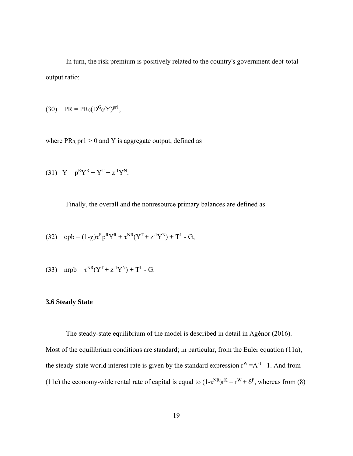In turn, the risk premium is positively related to the country's government debt-total output ratio:

(30) 
$$
PR = PR_0(D^G_0/Y)^{pr1}
$$
,

where  $PR_0$ ,  $pr1 > 0$  and Y is aggregate output, defined as

(31) 
$$
Y = p^{R}Y^{R} + Y^{T} + z^{-1}Y^{N}.
$$

Finally, the overall and the nonresource primary balances are defined as

(32) 
$$
opb = (1-\chi)\tau^R p^R Y^R + \tau^{NR} (Y^T + z^{-1} Y^N) + T^L - G,
$$

(33) 
$$
n\text{rpb} = \tau^{NR}(Y^{T} + z^{-1}Y^{N}) + T^{L} - G.
$$

#### **3.6 Steady State**

The steady-state equilibrium of the model is described in detail in Agénor (2016). Most of the equilibrium conditions are standard; in particular, from the Euler equation (11a), the steady-state world interest rate is given by the standard expression  $r^W = \Lambda^{-1}$  - 1. And from (11c) the economy-wide rental rate of capital is equal to  $(1 - \tau^{NR})r^{K} = r^{W} + \delta^{P}$ , whereas from (8)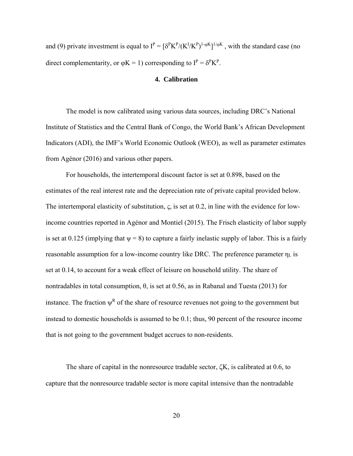and (9) private investment is equal to  $I^P = [\delta^P K^P/(K^I/K^P)^{1-\varphi K}]^{1/\varphi K}$ , with the standard case (no direct complementarity, or  $\varphi K = 1$ ) corresponding to  $I^P = \delta^P K^P$ .

#### **4. Calibration**

 The model is now calibrated using various data sources, including DRC's National Institute of Statistics and the Central Bank of Congo, the World Bank's African Development Indicators (ADI), the IMF's World Economic Outlook (WEO), as well as parameter estimates from Agénor (2016) and various other papers.

For households, the intertemporal discount factor is set at 0.898, based on the estimates of the real interest rate and the depreciation rate of private capital provided below. The intertemporal elasticity of substitution,  $\zeta$ , is set at 0.2, in line with the evidence for lowincome countries reported in Agénor and Montiel (2015). The Frisch elasticity of labor supply is set at 0.125 (implying that  $\psi$  = 8) to capture a fairly inelastic supply of labor. This is a fairly reasonable assumption for a low-income country like DRC. The preference parameter  $\eta$  is set at 0.14, to account for a weak effect of leisure on household utility. The share of nontradables in total consumption,  $θ$ , is set at 0.56, as in Rabanal and Tuesta (2013) for instance. The fraction  $\psi^R$  of the share of resource revenues not going to the government but instead to domestic households is assumed to be 0.1; thus, 90 percent of the resource income that is not going to the government budget accrues to non-residents.

The share of capital in the nonresource tradable sector,  $\zeta K$ , is calibrated at 0.6, to capture that the nonresource tradable sector is more capital intensive than the nontradable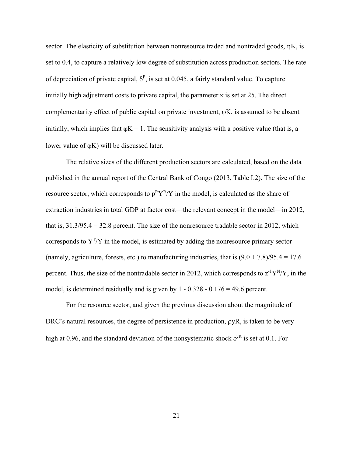sector. The elasticity of substitution between nonresource traded and nontraded goods,  $\eta K$ , is set to 0.4, to capture a relatively low degree of substitution across production sectors. The rate of depreciation of private capital,  $\delta^P$ , is set at 0.045, a fairly standard value. To capture initially high adjustment costs to private capital, the parameter  $\kappa$  is set at 25. The direct complementarity effect of public capital on private investment,  $\varphi K$ , is assumed to be absent initially, which implies that  $\phi K = 1$ . The sensitivity analysis with a positive value (that is, a lower value of  $\phi K$ ) will be discussed later.

The relative sizes of the different production sectors are calculated, based on the data published in the annual report of the Central Bank of Congo (2013, Table I.2). The size of the resource sector, which corresponds to  $p^R Y^R/Y$  in the model, is calculated as the share of extraction industries in total GDP at factor cost—the relevant concept in the model—in 2012, that is,  $31.3/95.4 = 32.8$  percent. The size of the nonresource tradable sector in 2012, which corresponds to  $Y<sup>T</sup>/Y$  in the model, is estimated by adding the nonresource primary sector (namely, agriculture, forests, etc.) to manufacturing industries, that is  $(9.0 + 7.8)/95.4 = 17.6$ percent. Thus, the size of the nontradable sector in 2012, which corresponds to  $z^{-1}Y^{N}/Y$ , in the model, is determined residually and is given by  $1 - 0.328 - 0.176 = 49.6$  percent.

For the resource sector, and given the previous discussion about the magnitude of DRC's natural resources, the degree of persistence in production,  $\rho$ yR, is taken to be very high at 0.96, and the standard deviation of the nonsystematic shock  $\varepsilon^{yR}$  is set at 0.1. For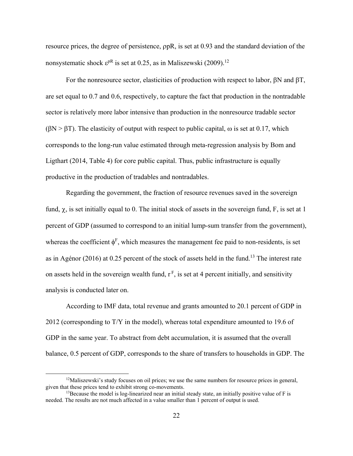resource prices, the degree of persistence,  $\rho pR$ , is set at 0.93 and the standard deviation of the nonsystematic shock  $\varepsilon^{pR}$  is set at 0.25, as in Maliszewski (2009).<sup>12</sup>

For the nonresource sector, elasticities of production with respect to labor,  $\beta N$  and  $\beta T$ , are set equal to 0.7 and 0.6, respectively, to capture the fact that production in the nontradable sector is relatively more labor intensive than production in the nonresource tradable sector  $(\beta N > \beta T)$ . The elasticity of output with respect to public capital,  $\omega$  is set at 0.17, which corresponds to the long-run value estimated through meta-regression analysis by Bom and Ligthart (2014, Table 4) for core public capital. Thus, public infrastructure is equally productive in the production of tradables and nontradables.

Regarding the government, the fraction of resource revenues saved in the sovereign fund,  $\chi$ , is set initially equal to 0. The initial stock of assets in the sovereign fund, F, is set at 1 percent of GDP (assumed to correspond to an initial lump-sum transfer from the government), whereas the coefficient  $\phi^F$ , which measures the management fee paid to non-residents, is set as in Agénor (2016) at 0.25 percent of the stock of assets held in the fund.<sup>13</sup> The interest rate on assets held in the sovereign wealth fund,  $r<sup>F</sup>$ , is set at 4 percent initially, and sensitivity analysis is conducted later on.

According to IMF data, total revenue and grants amounted to 20.1 percent of GDP in 2012 (corresponding to T/Y in the model), whereas total expenditure amounted to 19.6 of GDP in the same year. To abstract from debt accumulation, it is assumed that the overall balance, 0.5 percent of GDP, corresponds to the share of transfers to households in GDP. The

 $12$ Maliszewski's study focuses on oil prices; we use the same numbers for resource prices in general, given that these prices tend to exhibit strong co-movements.<br><sup>13</sup>Because the model is log-linearized near an initial steady state, an initially positive value of F is

needed. The results are not much affected in a value smaller than 1 percent of output is used.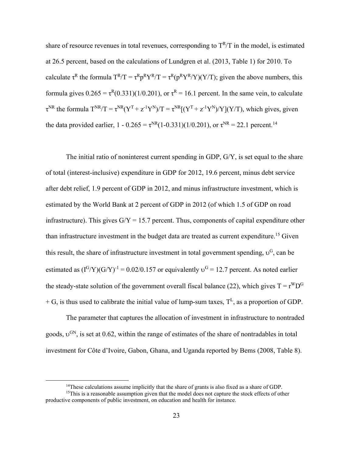share of resource revenues in total revenues, corresponding to  $T<sup>R</sup>/T$  in the model, is estimated at 26.5 percent, based on the calculations of Lundgren et al. (2013, Table 1) for 2010. To calculate  $\tau^R$  the formula  $T^R/T = \tau^R p^R Y^R/T = \tau^R (p^R Y^R/Y)(Y/T)$ ; given the above numbers, this formula gives  $0.265 = \tau^R (0.331)(1/0.201)$ , or  $\tau^R = 16.1$  percent. In the same vein, to calculate  $\tau^{NR}$  the formula  $T^{NR}/T = \tau^{NR}(Y^T + z^{-1}Y^N)/T = \tau^{NR}[(Y^T + z^{-1}Y^N)/Y](Y/T)$ , which gives, given the data provided earlier,  $1 - 0.265 = \tau^{NR}(1 - 0.331)(1/0.201)$ , or  $\tau^{NR} = 22.1$  percent.<sup>14</sup>

The initial ratio of noninterest current spending in GDP, G/Y, is set equal to the share of total (interest-inclusive) expenditure in GDP for 2012, 19.6 percent, minus debt service after debt relief, 1.9 percent of GDP in 2012, and minus infrastructure investment, which is estimated by the World Bank at 2 percent of GDP in 2012 (of which 1.5 of GDP on road infrastructure). This gives  $G/Y = 15.7$  percent. Thus, components of capital expenditure other than infrastructure investment in the budget data are treated as current expenditure.15 Given this result, the share of infrastructure investment in total government spending,  $v^G$ , can be estimated as  $(I^G/Y)(G/Y)^{-1} = 0.02/0.157$  or equivalently  $U^G = 12.7$  percent. As noted earlier the steady-state solution of the government overall fiscal balance (22), which gives  $T = r^{W}D^{G}$  $+$  G, is thus used to calibrate the initial value of lump-sum taxes,  $T<sup>L</sup>$ , as a proportion of GDP.

The parameter that captures the allocation of investment in infrastructure to nontraded goods,  $v^{GN}$ , is set at 0.62, within the range of estimates of the share of nontradables in total investment for Côte d'Ivoire, Gabon, Ghana, and Uganda reported by Bems (2008, Table 8).

<sup>&</sup>lt;sup>14</sup>These calculations assume implicitly that the share of grants is also fixed as a share of GDP.  $15$ This is a reasonable assumption given that the model does not capture the stock effects of other

productive components of public investment, on education and health for instance.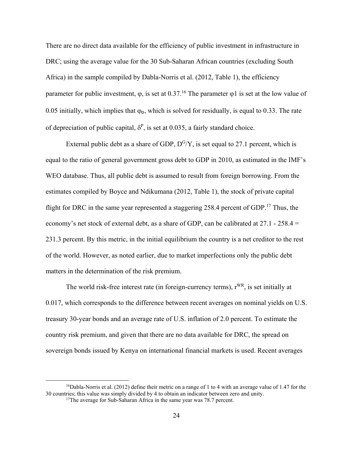There are no direct data available for the efficiency of public investment in infrastructure in DRC; using the average value for the 30 Sub-Saharan African countries (excluding South Africa) in the sample compiled by Dabla-Norris et al. (2012, Table 1), the efficiency parameter for public investment,  $\varphi$ , is set at 0.37.<sup>16</sup> The parameter  $\varphi$ 1 is set at the low value of 0.05 initially, which implies that  $\varphi_0$ , which is solved for residually, is equal to 0.33. The rate of depreciation of public capital,  $\delta^P$ , is set at 0.035, a fairly standard choice.

External public debt as a share of GDP,  $D^{G}/Y$ , is set equal to 27.1 percent, which is equal to the ratio of general government gross debt to GDP in 2010, as estimated in the IMF's WEO database. Thus, all public debt is assumed to result from foreign borrowing. From the estimates compiled by Boyce and Ndikumana (2012, Table 1), the stock of private capital flight for DRC in the same year represented a staggering 258.4 percent of GDP.<sup>17</sup> Thus, the economy's net stock of external debt, as a share of GDP, can be calibrated at 27.1 - 258.4 = 231.3 percent. By this metric, in the initial equilibrium the country is a net creditor to the rest of the world. However, as noted earlier, due to market imperfections only the public debt matters in the determination of the risk premium.

The world risk-free interest rate (in foreign-currency terms),  $r^{WR}$ , is set initially at 0.017, which corresponds to the difference between recent averages on nominal yields on U.S. treasury 30-year bonds and an average rate of U.S. inflation of 2.0 percent. To estimate the country risk premium, and given that there are no data available for DRC, the spread on sovereign bonds issued by Kenya on international financial markets is used. Recent averages

<sup>&</sup>lt;sup>16</sup>Dabla-Norris et al. (2012) define their metric on a range of 1 to 4 with an average value of 1.47 for the 30 countries; this value was simply divided by 4 to obtain an indicator between zero and unity. 17The average for Sub-Saharan Africa in the same year was 78.7 percent.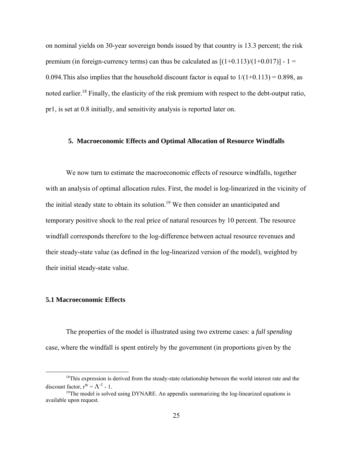on nominal yields on 30-year sovereign bonds issued by that country is 13.3 percent; the risk premium (in foreign-currency terms) can thus be calculated as  $[(1+0.113)/(1+0.017)] - 1 =$ 0.094. This also implies that the household discount factor is equal to  $1/(1+0.113) = 0.898$ , as noted earlier.<sup>18</sup> Finally, the elasticity of the risk premium with respect to the debt-output ratio, pr1, is set at 0.8 initially, and sensitivity analysis is reported later on.

#### **5. Macroeconomic Effects and Optimal Allocation of Resource Windfalls**

We now turn to estimate the macroeconomic effects of resource windfalls, together with an analysis of optimal allocation rules. First, the model is log-linearized in the vicinity of the initial steady state to obtain its solution.<sup>19</sup> We then consider an unanticipated and temporary positive shock to the real price of natural resources by 10 percent. The resource windfall corresponds therefore to the log-difference between actual resource revenues and their steady-state value (as defined in the log-linearized version of the model), weighted by their initial steady-state value.

#### **5.1 Macroeconomic Effects**

The properties of the model is illustrated using two extreme cases: a *full spending* case, where the windfall is spent entirely by the government (in proportions given by the

<sup>&</sup>lt;sup>18</sup>This expression is derived from the steady-state relationship between the world interest rate and the discount factor,  $r^W = \Lambda^{-1}$  - 1.<br><sup>19</sup>The model is solved using DYNARE. An appendix summarizing the log-linearized equations is

available upon request.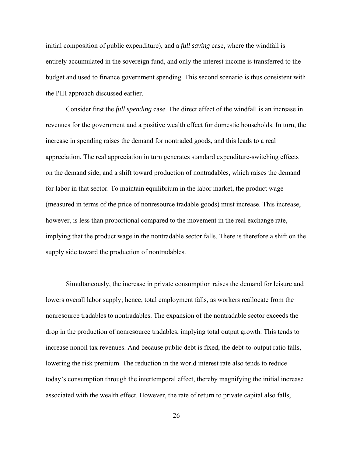initial composition of public expenditure), and a *full saving* case, where the windfall is entirely accumulated in the sovereign fund, and only the interest income is transferred to the budget and used to finance government spending. This second scenario is thus consistent with the PIH approach discussed earlier.

 Consider first the *full spending* case. The direct effect of the windfall is an increase in revenues for the government and a positive wealth effect for domestic households. In turn, the increase in spending raises the demand for nontraded goods, and this leads to a real appreciation. The real appreciation in turn generates standard expenditure-switching effects on the demand side, and a shift toward production of nontradables, which raises the demand for labor in that sector. To maintain equilibrium in the labor market, the product wage (measured in terms of the price of nonresource tradable goods) must increase. This increase, however, is less than proportional compared to the movement in the real exchange rate, implying that the product wage in the nontradable sector falls. There is therefore a shift on the supply side toward the production of nontradables.

Simultaneously, the increase in private consumption raises the demand for leisure and lowers overall labor supply; hence, total employment falls, as workers reallocate from the nonresource tradables to nontradables. The expansion of the nontradable sector exceeds the drop in the production of nonresource tradables, implying total output growth. This tends to increase nonoil tax revenues. And because public debt is fixed, the debt-to-output ratio falls, lowering the risk premium. The reduction in the world interest rate also tends to reduce today's consumption through the intertemporal effect, thereby magnifying the initial increase associated with the wealth effect. However, the rate of return to private capital also falls,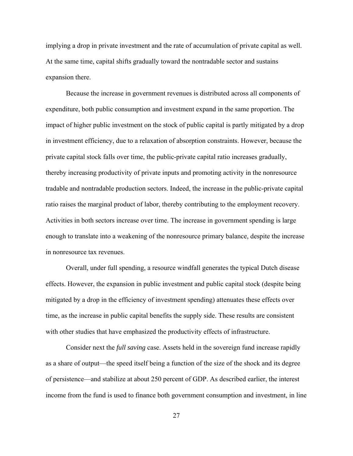implying a drop in private investment and the rate of accumulation of private capital as well. At the same time, capital shifts gradually toward the nontradable sector and sustains expansion there.

Because the increase in government revenues is distributed across all components of expenditure, both public consumption and investment expand in the same proportion. The impact of higher public investment on the stock of public capital is partly mitigated by a drop in investment efficiency, due to a relaxation of absorption constraints. However, because the private capital stock falls over time, the public-private capital ratio increases gradually, thereby increasing productivity of private inputs and promoting activity in the nonresource tradable and nontradable production sectors. Indeed, the increase in the public-private capital ratio raises the marginal product of labor, thereby contributing to the employment recovery. Activities in both sectors increase over time. The increase in government spending is large enough to translate into a weakening of the nonresource primary balance, despite the increase in nonresource tax revenues.

 Overall, under full spending, a resource windfall generates the typical Dutch disease effects. However, the expansion in public investment and public capital stock (despite being mitigated by a drop in the efficiency of investment spending) attenuates these effects over time, as the increase in public capital benefits the supply side. These results are consistent with other studies that have emphasized the productivity effects of infrastructure.

Consider next the *full saving* case. Assets held in the sovereign fund increase rapidly as a share of output—the speed itself being a function of the size of the shock and its degree of persistence—and stabilize at about 250 percent of GDP. As described earlier, the interest income from the fund is used to finance both government consumption and investment, in line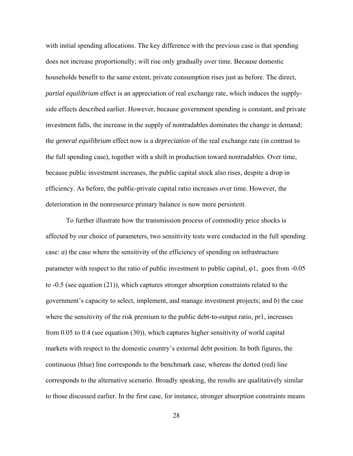with initial spending allocations. The key difference with the previous case is that spending does not increase proportionally; will rise only gradually over time. Because domestic households benefit to the same extent, private consumption rises just as before. The direct, *partial equilibrium* effect is an appreciation of real exchange rate, which induces the supplyside effects described earlier. However, because government spending is constant, and private investment falls, the increase in the supply of nontradables dominates the change in demand; the *general equilibrium* effect now is a *depreciation* of the real exchange rate (in contrast to the full spending case), together with a shift in production toward nontradables. Over time, because public investment increases, the public capital stock also rises, despite a drop in efficiency. As before, the public-private capital ratio increases over time. However, the deterioration in the nonresource primary balance is now more persistent.

To further illustrate how the transmission process of commodity price shocks is affected by our choice of parameters, two sensitivity tests were conducted in the full spending case: *a*) the case where the sensitivity of the efficiency of spending on infrastructure parameter with respect to the ratio of public investment to public capital,  $\varphi$ 1, goes from -0.05 to -0.5 (see equation (21)), which captures stronger absorption constraints related to the government's capacity to select, implement, and manage investment projects; and *b*) the case where the sensitivity of the risk premium to the public debt-to-output ratio, pr1, increases from 0.05 to 0.4 (see equation (30)), which captures higher sensitivity of world capital markets with respect to the domestic country's external debt position. In both figures, the continuous (blue) line corresponds to the benchmark case, whereas the dotted (red) line corresponds to the alternative scenario. Broadly speaking, the results are qualitatively similar to those discussed earlier. In the first case, for instance, stronger absorption constraints means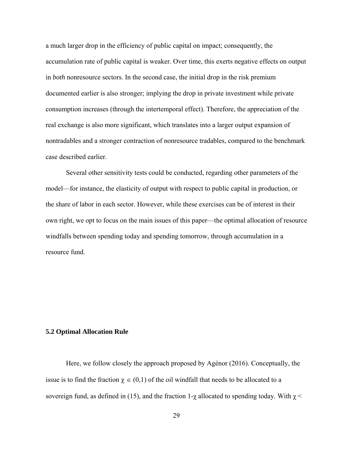a much larger drop in the efficiency of public capital on impact; consequently, the accumulation rate of public capital is weaker. Over time, this exerts negative effects on output in *both* nonresource sectors. In the second case, the initial drop in the risk premium documented earlier is also stronger; implying the drop in private investment while private consumption increases (through the intertemporal effect). Therefore, the appreciation of the real exchange is also more significant, which translates into a larger output expansion of nontradables and a stronger contraction of nonresource tradables, compared to the benchmark case described earlier.

Several other sensitivity tests could be conducted, regarding other parameters of the model—for instance, the elasticity of output with respect to public capital in production, or the share of labor in each sector. However, while these exercises can be of interest in their own right, we opt to focus on the main issues of this paper—the optimal allocation of resource windfalls between spending today and spending tomorrow, through accumulation in a resource fund.

#### **5.2 Optimal Allocation Rule**

Here, we follow closely the approach proposed by Agénor (2016). Conceptually, the issue is to find the fraction  $\chi \in (0,1)$  of the oil windfall that needs to be allocated to a sovereign fund, as defined in (15), and the fraction 1- $\chi$  allocated to spending today. With  $\chi$  <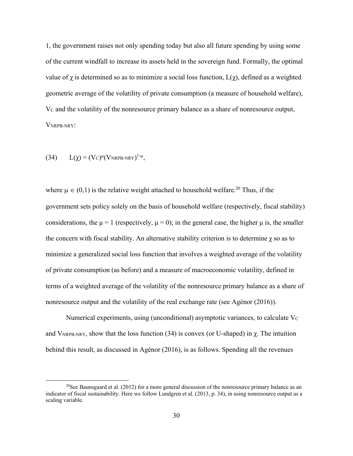1, the government raises not only spending today but also all future spending by using some of the current windfall to increase its assets held in the sovereign fund. Formally, the optimal value of  $\chi$  is determined so as to minimize a social loss function,  $L(\chi)$ , defined as a weighted geometric average of the volatility of private consumption (a measure of household welfare), V<sub>C</sub> and the volatility of the nonresource primary balance as a share of nonresource output, VNRPB-NRY:

#### (34)  $L(\chi) = (V_C)^{\mu} (V_{NRPB-NRY})^{1-\mu},$

where  $\mu \in (0,1)$  is the relative weight attached to household welfare.<sup>20</sup> Thus, if the government sets policy solely on the basis of household welfare (respectively, fiscal stability) considerations, the  $\mu = 1$  (respectively,  $\mu = 0$ ); in the general case, the higher  $\mu$  is, the smaller the concern with fiscal stability. An alternative stability criterion is to determine  $\gamma$  so as to minimize a generalized social loss function that involves a weighted average of the volatility of private consumption (as before) and a measure of macroeconomic volatility, defined in terms of a weighted average of the volatility of the nonresource primary balance as a share of nonresource output and the volatility of the real exchange rate (see Agénor (2016)).

Numerical experiments, using (unconditional) asymptotic variances, to calculate V<sub>C</sub> and V<sub>NRPB-NRY</sub>, show that the loss function (34) is convex (or U-shaped) in  $\gamma$ . The intuition behind this result, as discussed in Agénor (2016), is as follows. Spending all the revenues

<sup>&</sup>lt;sup>20</sup>See Baunsgaard et al. (2012) for a more general discussion of the nonresource primary balance as an indicator of fiscal sustainability. Here we follow Lundgren et al. (2013, p. 34), in using nonresource output as a scaling variable.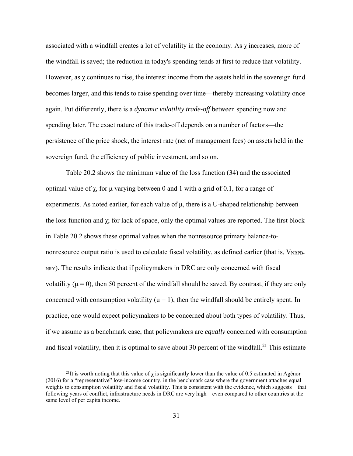associated with a windfall creates a lot of volatility in the economy. As  $\chi$  increases, more of the windfall is saved; the reduction in today's spending tends at first to reduce that volatility. However, as  $\gamma$  continues to rise, the interest income from the assets held in the sovereign fund becomes larger, and this tends to raise spending over time—thereby increasing volatility once again. Put differently, there is a *dynamic volatility trade-off* between spending now and spending later. The exact nature of this trade-off depends on a number of factors—the persistence of the price shock, the interest rate (net of management fees) on assets held in the sovereign fund, the efficiency of public investment, and so on.

Table 20.2 shows the minimum value of the loss function (34) and the associated optimal value of  $\chi$ , for μ varying between 0 and 1 with a grid of 0.1, for a range of experiments. As noted earlier, for each value of  $\mu$ , there is a U-shaped relationship between the loss function and  $\chi$ ; for lack of space, only the optimal values are reported. The first block in Table 20.2 shows these optimal values when the nonresource primary balance-tononresource output ratio is used to calculate fiscal volatility, as defined earlier (that is, VNRPB-NRY). The results indicate that if policymakers in DRC are only concerned with fiscal volatility  $(\mu = 0)$ , then 50 percent of the windfall should be saved. By contrast, if they are only concerned with consumption volatility  $(\mu = 1)$ , then the windfall should be entirely spent. In practice, one would expect policymakers to be concerned about both types of volatility. Thus, if we assume as a benchmark case, that policymakers are *equally* concerned with consumption and fiscal volatility, then it is optimal to save about 30 percent of the windfall.<sup>21</sup> This estimate

<sup>&</sup>lt;sup>21</sup>It is worth noting that this value of  $\gamma$  is significantly lower than the value of 0.5 estimated in Agénor (2016) for a "representative" low-income country, in the benchmark case where the government attaches equal weights to consumption volatility and fiscal volatility. This is consistent with the evidence, which suggests that following years of conflict, infrastructure needs in DRC are very high—even compared to other countries at the same level of per capita income.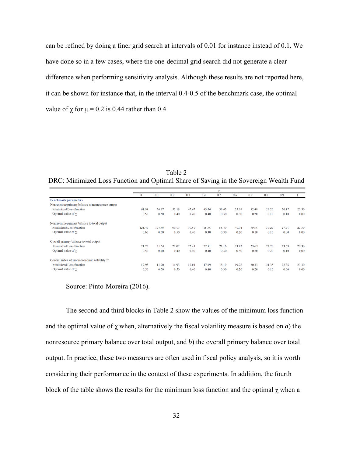can be refined by doing a finer grid search at intervals of 0.01 for instance instead of 0.1. We have done so in a few cases, where the one-decimal grid search did not generate a clear difference when performing sensitivity analysis. Although these results are not reported here, it can be shown for instance that, in the interval 0.4-0.5 of the benchmark case, the optimal value of  $\chi$  for  $\mu$  = 0.2 is 0.44 rather than 0.4.

Table 2 DRC: Minimized Loss Function and Optimal Share of Saving in the Sovereign Wealth Fund

|                                                   | и        |        |       |       |       |       |       |       |       |       |       |
|---------------------------------------------------|----------|--------|-------|-------|-------|-------|-------|-------|-------|-------|-------|
|                                                   | $\Omega$ | 0.1    | 0.2   | 0.3   | 0.4   | 0.5   | 0.6   | 0.7   | 0.8   | 0.9   |       |
| <b>Benchmark parameters</b>                       |          |        |       |       |       |       |       |       |       |       |       |
| Nonresource primary balance to nonresource output |          |        |       |       |       |       |       |       |       |       |       |
| <b>Minimized Loss function</b>                    | 61.94    | 56.87  | 52.18 | 47.67 | 43.56 | 39.63 | 35.99 | 32.48 | 29.20 | 26.17 | 23.30 |
| Optimal value of $\gamma$                         | 0.50     | 0.50   | 0.40  | 0.40  | 0.40  | 0.30  | 0.30  | 0.20  | 0.10  | 0.10  | 0.00  |
| Nonresource primary balance to total output       |          |        |       |       |       |       |       |       |       |       |       |
| Minimized Loss function                           | 121.48   | 104.48 | 89.67 | 76.66 | 65.36 | 55.49 | 46.91 | 39.56 | 33.23 | 27.86 | 23.30 |
| Optimal value of $\chi$                           | 0.60     | 0.50   | 0.50  | 0.40  | 0.30  | 0.30  | 0.20  | 0.10  | 0.10  | 0.00  | 0.00  |
| Overall primary balance to total output           |          |        |       |       |       |       |       |       |       |       |       |
| <b>Minimized Loss function</b>                    | 21.25    | 21.64  | 22.02 | 22.41 | 22.81 | 23.16 | 23.42 | 23.63 | 23.70 | 23.59 | 23.30 |
| Optimal value of $\gamma$                         | 0.50     | 0.40   | 0.40  | 0.40  | 0.40  | 0.30  | 0.30  | 0.20  | 0.20  | 0.10  | 0.00  |
| General index of macroeconomic volatility 2/      |          |        |       |       |       |       |       |       |       |       |       |
| <b>Minimized Loss function</b>                    | 12.95    | 13.90  | 14.93 | 16.01 | 17.09 | 18.19 | 19.28 | 20.33 | 21.35 | 22.36 | 23.30 |
| Optimal value of $\gamma$                         | 0.50     | 0.50   | 0.50  | 0.40  | 0.40  | 0.30  | 0.20  | 0.20  | 0.10  | 0.00  | 0.00  |

Source: Pinto-Moreira (2016).

The second and third blocks in Table 2 show the values of the minimum loss function and the optimal value of  $\chi$  when, alternatively the fiscal volatility measure is based on *a*) the nonresource primary balance over total output, and *b*) the overall primary balance over total output. In practice, these two measures are often used in fiscal policy analysis, so it is worth considering their performance in the context of these experiments. In addition, the fourth block of the table shows the results for the minimum loss function and the optimal  $\gamma$  when a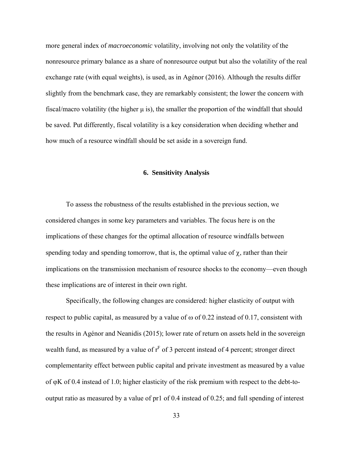more general index of *macroeconomic* volatility, involving not only the volatility of the nonresource primary balance as a share of nonresource output but also the volatility of the real exchange rate (with equal weights), is used, as in Agénor (2016). Although the results differ slightly from the benchmark case, they are remarkably consistent; the lower the concern with fiscal/macro volatility (the higher  $\mu$  is), the smaller the proportion of the windfall that should be saved. Put differently, fiscal volatility is a key consideration when deciding whether and how much of a resource windfall should be set aside in a sovereign fund.

#### **6. Sensitivity Analysis**

To assess the robustness of the results established in the previous section, we considered changes in some key parameters and variables. The focus here is on the implications of these changes for the optimal allocation of resource windfalls between spending today and spending tomorrow, that is, the optimal value of  $\chi$ , rather than their implications on the transmission mechanism of resource shocks to the economy—even though these implications are of interest in their own right.

Specifically, the following changes are considered: higher elasticity of output with respect to public capital, as measured by a value of  $\omega$  of 0.22 instead of 0.17, consistent with the results in Agénor and Neanidis (2015); lower rate of return on assets held in the sovereign wealth fund, as measured by a value of  $r<sup>F</sup>$  of 3 percent instead of 4 percent; stronger direct complementarity effect between public capital and private investment as measured by a value of  $\varphi$ K of 0.4 instead of 1.0; higher elasticity of the risk premium with respect to the debt-tooutput ratio as measured by a value of pr1 of 0.4 instead of 0.25; and full spending of interest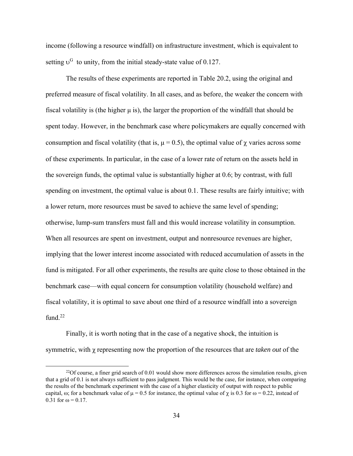income (following a resource windfall) on infrastructure investment, which is equivalent to setting  $v^G$  to unity, from the initial steady-state value of 0.127.

The results of these experiments are reported in Table 20.2, using the original and preferred measure of fiscal volatility. In all cases, and as before, the weaker the concern with fiscal volatility is (the higher  $\mu$  is), the larger the proportion of the windfall that should be spent today. However, in the benchmark case where policymakers are equally concerned with consumption and fiscal volatility (that is,  $\mu = 0.5$ ), the optimal value of  $\chi$  varies across some of these experiments. In particular, in the case of a lower rate of return on the assets held in the sovereign funds, the optimal value is substantially higher at 0.6; by contrast, with full spending on investment, the optimal value is about 0.1. These results are fairly intuitive; with a lower return, more resources must be saved to achieve the same level of spending; otherwise, lump-sum transfers must fall and this would increase volatility in consumption. When all resources are spent on investment, output and nonresource revenues are higher, implying that the lower interest income associated with reduced accumulation of assets in the fund is mitigated. For all other experiments, the results are quite close to those obtained in the benchmark case—with equal concern for consumption volatility (household welfare) and fiscal volatility, it is optimal to save about one third of a resource windfall into a sovereign fund  $^{22}$ 

Finally, it is worth noting that in the case of a negative shock, the intuition is symmetric, with χ representing now the proportion of the resources that are *taken out* of the

<sup>&</sup>lt;sup>22</sup>Of course, a finer grid search of 0.01 would show more differences across the simulation results, given that a grid of 0.1 is not always sufficient to pass judgment. This would be the case, for instance, when comparing the results of the benchmark experiment with the case of a higher elasticity of output with respect to public capital,  $\omega$ ; for a benchmark value of  $\mu = 0.5$  for instance, the optimal value of  $\gamma$  is 0.3 for  $\omega = 0.22$ , instead of  $0.31$  for  $\omega = 0.17$ .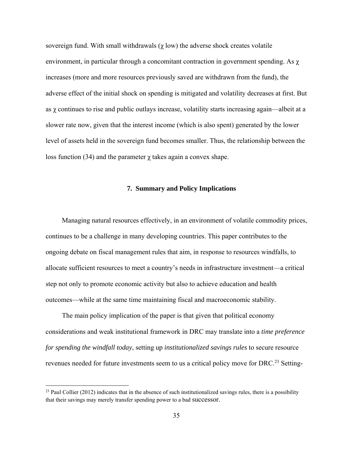sovereign fund. With small withdrawals  $(\chi \text{ low})$  the adverse shock creates volatile environment, in particular through a concomitant contraction in government spending. As  $\chi$ increases (more and more resources previously saved are withdrawn from the fund), the adverse effect of the initial shock on spending is mitigated and volatility decreases at first. But as χ continues to rise and public outlays increase, volatility starts increasing again—albeit at a slower rate now, given that the interest income (which is also spent) generated by the lower level of assets held in the sovereign fund becomes smaller. Thus, the relationship between the loss function (34) and the parameter  $\chi$  takes again a convex shape.

#### **7. Summary and Policy Implications**

Managing natural resources effectively, in an environment of volatile commodity prices, continues to be a challenge in many developing countries. This paper contributes to the ongoing debate on fiscal management rules that aim, in response to resources windfalls, to allocate sufficient resources to meet a country's needs in infrastructure investment—a critical step not only to promote economic activity but also to achieve education and health outcomes—while at the same time maintaining fiscal and macroeconomic stability.

The main policy implication of the paper is that given that political economy considerations and weak institutional framework in DRC may translate into a *time preference for spending the windfall today*, setting up *institutionalized savings rules* to secure resource revenues needed for future investments seem to us a critical policy move for DRC.<sup>23</sup> Setting-

 $\overline{a}$ 

 $^{23}$  Paul Collier (2012) indicates that in the absence of such institutionalized savings rules, there is a possibility that their savings may merely transfer spending power to a bad successor.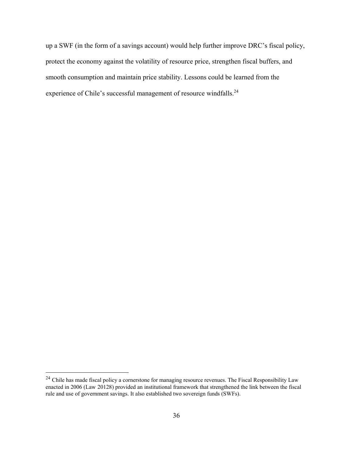up a SWF (in the form of a savings account) would help further improve DRC's fiscal policy, protect the economy against the volatility of resource price, strengthen fiscal buffers, and smooth consumption and maintain price stability. Lessons could be learned from the experience of Chile's successful management of resource windfalls.<sup>24</sup>

 $\overline{a}$ 

<sup>&</sup>lt;sup>24</sup> Chile has made fiscal policy a cornerstone for managing resource revenues. The Fiscal Responsibility Law enacted in 2006 (Law 20128) provided an institutional framework that strengthened the link between the fiscal rule and use of government savings. It also established two sovereign funds (SWFs).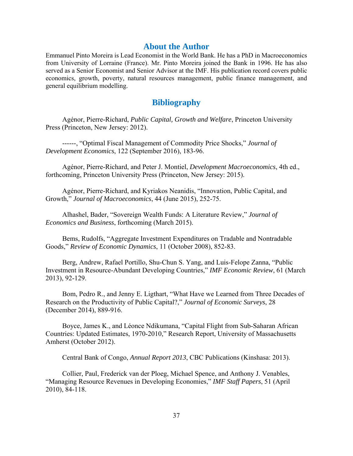#### **About the Author**

Emmanuel Pinto Moreira is Lead Economist in the World Bank. He has a PhD in Macroeconomics from University of Lorraine (France). Mr. Pinto Moreira joined the Bank in 1996. He has also served as a Senior Economist and Senior Advisor at the IMF. His publication record covers public economics, growth, poverty, natural resources management, public finance management, and general equilibrium modelling.

# **Bibliography**

Agénor, Pierre-Richard, *Public Capital, Growth and Welfare*, Princeton University Press (Princeton, New Jersey: 2012).

------, "Optimal Fiscal Management of Commodity Price Shocks," *Journal of Development Economics*, 122 (September 2016), 183-96.

Agénor, Pierre-Richard, and Peter J. Montiel, *Development Macroeconomics*, 4th ed., forthcoming, Princeton University Press (Princeton, New Jersey: 2015).

Agénor, Pierre-Richard, and Kyriakos Neanidis, "Innovation, Public Capital, and Growth," *Journal of Macroeconomics*, 44 (June 2015), 252-75.

Alhashel, Bader, "Sovereign Wealth Funds: A Literature Review," *Journal of Economics and Business*, forthcoming (March 2015).

Bems, Rudolfs, "Aggregate Investment Expenditures on Tradable and Nontradable Goods," *Review of Economic Dynamics*, 11 (October 2008), 852-83.

Berg, Andrew, Rafael Portillo, Shu-Chun S. Yang, and Luis-Felope Zanna, "Public Investment in Resource-Abundant Developing Countries," *IMF Economic Review*, 61 (March 2013), 92-129.

Bom, Pedro R., and Jenny E. Ligthart, "What Have we Learned from Three Decades of Research on the Productivity of Public Capital?," *Journal of Economic Surveys*, 28 (December 2014), 889-916.

Boyce, James K., and Léonce Ndikumana, "Capital Flight from Sub-Saharan African Countries: Updated Estimates, 1970-2010," Research Report, University of Massachusetts Amherst (October 2012).

Central Bank of Congo, *Annual Report 2013*, CBC Publications (Kinshasa: 2013).

Collier, Paul, Frederick van der Ploeg, Michael Spence, and Anthony J. Venables, "Managing Resource Revenues in Developing Economies," *IMF Staff Papers*, 51 (April 2010), 84-118.